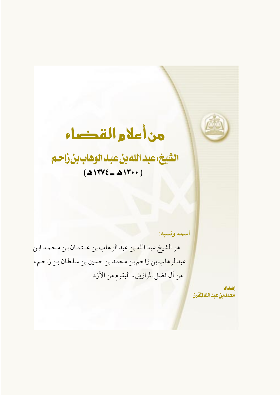# الشيخ: عبد الله بن عبد الوهاب بن زاحم  $(417Y\xi - 41Y\cdots)$

اسمه ونسبه:

هو الشيخ عبد الله بن عبد الوهاب بن عــثـمـان بن مـحـمـد ابن عبدالوهاب بن زاحم بن محمد بن حسين بن سلطان بن زاحم، من آل فضل المرازيق، البقوم من الأزد.

> اعداده محمدين عبدالله القرن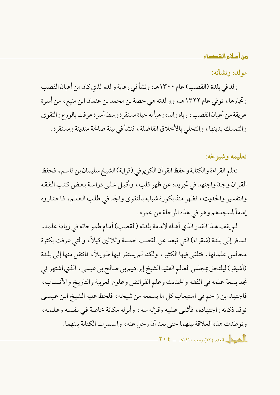# مولده ونشأته:

ولد في بلدة (القصب) عام ١٣٠٠هـ، ونشأ في رعاية والده الذي كان من أعيان القصب وتجارها، توفي عام ١٣٢٢هـ، ووالدته هي حصة بن محمد بن عثمان ابن منيع، من أسرة عريقة من أعيان القصب، رباه والده وهيأ له حياة مستقرة وسط أسرة عرفت بالورع والتقوى والتمسك بدينها، والتحلي بالأخلاق الفاضلة، فنشأ في بيئة صالحة متدينة ومستقرة .

# تعليمه وشيوخه:

تعلم القراءة والكتابة وحفظ القر أن الكريم في (قر اية) الشيخ سليمان بن قاسم، فحفظ القرآن وجدّ واجتهد في تجويده عن ظهر قلب، وأقبل على دراسة بعض كتب الفقه والتفسير والحديث، فظهر منذ بكورة شبابه بالتقوى والجد في طلب العلم، فاختاروه إماماً لمسجدهم وهو في هذه المرحلة من عمره .

لم يقف هـذا القدر الذي أهـله لإمامة بلدته (القصب) أمـام طموحاته في زيادة علمه ، فسافر إلى بلدة (شقراء) التي تبعد عن القصب خمسة وثلاثين كيلاً ، والتي عرفت بكثرة مجالس علمائها ، فتلقى فيها الكثير ، ولكنه لم يستقر فيها طويلاً ، فانتقل منها إلى بلدة (أشيقر ) ليلتحق بمجلس العالم الفقيه الشيخ إبراهيم بن صالح بن عيسى ، الذي اشتهر في نجد بسعة علمه في الفقه والحديث وعلم الفرائض وعلوم العربية والتاريخ والأنساب، فاجتهد ابن زاحم في استيعاب كل ما يسمعه من شيخه ، فلحظ عليه الشيخ ابن عيسى توقد ذكائه واجتهاده ، فأثنى عليه وقرَّبه منه ، وأنزله مكانة خاصة في نفسه وعلمه ، وتوطدت هذه العلاقة بينهما حتى بعد أن رحل عنه، واستمرت الكتابة بينهما .  $\frac{1}{2}$ ه بيد (٢٣) رحيه ١٤٢٥هـ ـ ٢٠٤٤هـ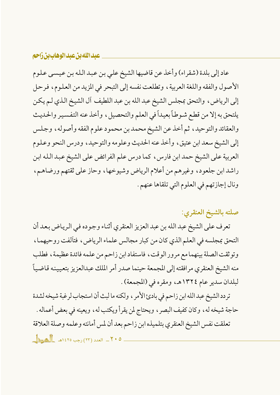#### عبد الله بن عبد الوهاب بن زاحم

عاد إلى بلدة (شقراء) وأخذ عن قاضيها الشيخ على بن عبد الله بن عيسى علوم الأصول والفقه واللغة العربية ، وتطلعت نفسه إلى التبحر في المزيد من العلوم ، فرحل إلى الرياض، والتحق بمجلس الشيخ عبد الله بن عبد اللطيف آل الشيخ الذي لـم يكن يلتحق به إلا من قطع شوطاً بعيداً في العلم والتحصيل ، وأخذ عنه التفسير والحديث والعقائد والتوحيد، ثم أخذ عن الشيخ محمد بن محمود علوم الفقه وأصوله، وجلس إلى الشيخ سعد ابن عتيق، وأخذ عنه الحديث وعلومه والتوحيد، ودرس النحو وعلوم العربية على الشيخ حمد ابن فارس ، كما درس علم الفر ائض على الشيخ عبد الله ابن راشد ابن جلعود، وغيرهم من أعلام الرياض وشيوخها، وحاز على ثقتهم ورضاهـم، ونال إجازتهم في العلوم التي تلقاها عنهم .

صلته بالشيخ العنقري:

تعرف على الشيخ عبد الله بن عبد العزيز العنقري أثناء وجوده في الرياض بعد أن التحق بمجلسه في العلم الذي كان من كبار مجالس علماء الرياض، فتألفت روحيهما، وتوثقت الصلة بينهما مع مرور الوقت، فاستفاد ابن زاحم من علمه فائدة عظيمة، فطلب منه الشيخ العنقري مرافقته إلى المجمعة حينما صدر أمر الملك عبدالعزيز بتعيينه قاضياً لبلدان سدير عام ١٣٢٤هـ، ومقره في (المجمعة).

تردد الشيخ عبد الله ابن زاحم في بادئ الأمر ، ولكنه ما لبث أن استجاب لرغبة شيخه لشدة حاجة شيخه له، وكان كفيف البصر ، ويحتاج لمن يقرأ ويكتب له، ويعينه في بعض أعماله . تعلقت نفس الشيخ العنقري بتلميذه ابن زاحم بعد أن لمس أمانته وعلمه وصلة العلاقة  $\frac{1}{\sqrt{1+\epsilon}}$ العدد (٢٣) رجب ١٤٢٥هـ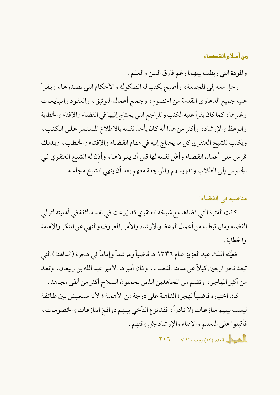والمودة التي ربطت بينهما رغم فارق السن والعلم .

رحل معه إلى المجمعة ، وأصبح يكتب له الصكوك والأحكام التي يصدرها ، ويقرأ عليه جميع الدعاوي المقدمة من الخصوم، وجميع أعمال التوثيق، والعقود والمبايعات وغير ها ، كما كان يقر أعليه الكتب والمر اجع التي يحتاج إليها في القضاء والإفتاء والخطابة والوعظ والإرشاد، وأكثر من هذا أنه كان يأخذ نفسه بالاطلاع المستمر على الكتب، ويكتب للشيخ العنقري كل ما يحتاج إليه في مهام القضاء والإفتاء والخطب، وبذلك قرس على أعمال القضاء وأهَّل نفسه لها قبل أن يتولاها، وأذن له الشيخ العنقري في الجلوس إلى الطلاب وتدريسهم والمراجعة معهم بعد أن ينهى الشيخ مجلسه .

# مناصبه في القضاء:

كانت الفترة التي قضاها مع شيخه العنقري قد زرعت في نفسه الثقة في أهليته لتولي القضاء وما ير تبط به من أعمال الوعظ والإرشاد والأمر بالمعروف والنهى عن المنكر والإمامة والخطابة .

فعيَّنه الملك عبد العزيز عام ١٣٣٦ هـ قاضياً ومرشداً وإماماً في هجرة (الداهنة) التي تبعد نحو أربعين كيلاً عن مدينة القصب، وكان أميرها الأمير عبد الله بن ربيعان، وتعد من أكبر المهاجر ، وتضم من المجاهدين الذين يحملون السلاح أكثر من ألفي مجاهد.

كان اختياره قاضياً لهجرة الداهنة على درجة من الأهمية ؛ لأنه سيعيش بين طائفة ليست بينهم منازعات إلا نادراً، فقد نزع التأخي بينهم دوافعَ المنازعات والخصومات، فأقبلوا على التعليم والإفتاء والإرشاد جُل وقتهم .

 $\frac{1}{2}$ ه سوال العدد (٢٣) رجب ١٤٢٥هـ - ٢٠٦.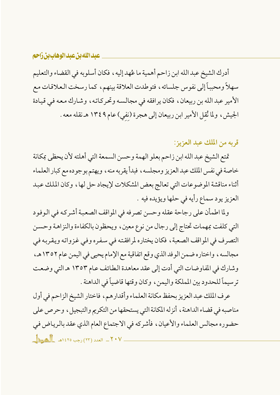# عبدالله بن عبدالوهاب بن زاحم

أدرك الشيخ عبد الله ابن زاحم أهمية ما عُهد إليه ، فكان أسلوبه في القضاء والتعليم سهلاً ومحبباً إلى نفوس جلسائه، فتوطدت العلاقة بينهم، كما رسخت العلاقات مع الأمير عبد الله بن ربيعان، فكان يرافقه في مجالسه وتحركاته، وشارك معه في قيادة الجيش، ولما نُقل الأمير ابن ربيعان إلى هجرة (نفي) عام ١٣٤٩ هـ نقله معه .

قربه من الملك عبد العزيز:

تمتع الشيخ عبد الله ابن زاحم بعلو الهمة وحسن السمعة التي أهلته لأن يحظى بمكانة خاصة في نفس الملك عبد العزيز ومجلسه ، فبدأ يقربه منه ، ويهتم بوجوده مع كبار العلماء أثناء مناقشة الموضوعات التي تعالج بعض المشكلات لإيجاد حل لها، وكان الملك عبد العزيز يود سماع رأيه في حلها ويؤيده فيه .

ولما اطمأن على رجاحة عقله وحسن تصرفه في المواقف الصعبة أشركه في الوفود التي كلفت بمهمات تحتاج إلى رجال من نوع معين، ويحظون بالكفاءة والنزاهة وحسن التصرف في المواقف الصعبة ، فكان يختاره لمرافقته في سفره وفي غزواته ويقربه في مجالسه، واختاره ضمن الوفد الذي وقع اتفاقية مع الإمام يحيى في اليمن عام ١٣٥٢هـ، وشارك في المفاوضات التي أدت إلى عقد معاهدة الطائف عام ١٣٥٣ هـ التي وضعت ترسيماً للحدود بين المملكة واليمن، وكان وقتها قاضياً في الداهنة .

عرف الملك عبد العزيز بحفظ مكانة العلماء وأقدارهم، فاختار الشيخ الزاحم في أول مناصبه في قضاء الداهنة ، أنزله المكانة التي يستحقها من التكريم والتبجيل ، وحرص على حضوره مجالس العلماء والأعيان، فأشركه في الاجتماع العام الذي عقد بالرياض في ٢٠٧ - العدد (٢٢) رجب ١٤٢٥هـ المطل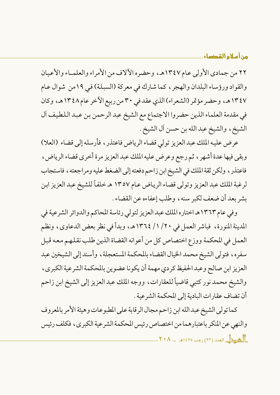٢٢ من جمادي الأولى عام ١٣٤٧هـ، وحضره الآلاف من الأمراء والعلمـاء والأعيان والقواد ورؤساء البلدان والهجر ، كما شارك في معركة (السبلة) في ١٩من شوال عام ١٣٤٧هـ، وحضر مؤتمر (الشعراء)الذي عقد في ٣٠ من ربيع الآخر عام ١٣٤٨هـ، وكان في مقدمة العلماء الذين حضر وا الاجتماع مع الشيخ عبد الرحمن بن عبد اللطيف آل الشيخ، والشيخ عبد الله بن حسن أل الشيخ .

عرض عليه الملك عبد العزيز تولي قضاء الرياض فاعتذر ، فأرسله إلى قضاء (العلا) وبقى فيها عدة أشهر ، ثم رجع وعرض عليه الملك عبد العزيز مرة أخرى قضاء الرياض ، فاعتذر ، ولكن ثقة الملك في الشيخ ابن زاحم دفعته إلى الضغط عليه ومراجعته ، فاستجاب لرغبة الملك عبد العزيز وتولي قضاء الرياض عـام ١٣٥٧ هـ خلفاً للشيخ عبد العزيز ابن بشر بعد أن ضعف لكبر سنه، وطلب إعفاءه عن القضاء .

وفي عام ١٣٦٣هـ اختاره الملك عبد العزيز لتولى رئاسة المحاكم والدوائر الشرعية في المدينة المنورة، فباشر العمل في ٢٠/ ١/ ١٣٦٤هـ، وبدأ في نظر بعض الدعاوي، ونظم العمل في المحكمة ووزع اختصاص كل من أعوانه القضاة الذين طلب نقلهم معه قبل سفره، فتولى الشيخ محمد الخيال القضاء بالمحكمة المستعجلة، وأسند إلى الشيخين عبد العزيز ابن صالح وعبد الحفيظ كر دي مهمة أن يكونا عضوين بالمحكمة الشرعية الكبرى، والشيخ محمد نور كتبي قاضياً للعقارات، ووجه الملك عبد العزيز إلى الشيخ ابن زاحم أن تضاف عقارات البادية إلى المحكمة الشرعية .

كما تولى الشيخ عبد الله ابن زاحم مجال الر قابة على المطبو عات وهيئة الأمر بالمعروف والنهي عن المنكر باعتبارهما من اختصاص رئيس المحكمة الشرعية الكبرى، فكلف رئيس  $\mathbb{R}^3$ ه يبدأ بالعدد (٢٣) رجب ١٤٢٥هـ  $\mathbb{R}^3$  -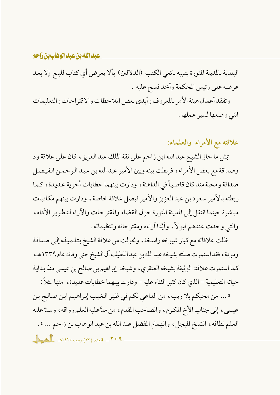#### عبد الله بن عبد الوهاب بن زاحم

البلدية بالمدينة المنورة بتنبيه بائعي الكتب (الدلالين) بألا يعرض أي كتاب للبيع إلا بعد عرضه على رئيس المحكمة وأخذ فسح عليه . وتفقد أعمال هيئة الأمر بالمعروف وأبدى بعض الملاحظات والاقتر احات والتعليمات التي وضعها لسير عملها .

علاقته مع الأمراء والعلماء:

بمثل ما حاز الشيخ عبد الله ابن زاحم على ثقة الملك عبد العزيز ، كان على علاقة ود وصداقة مع بعض الأمراء ، فربطت بينه وبين الأمير عبد الله بن عبد الرحمن الفيصل صداقة ومحبة منذ كان قاضياً في الداهنة ، ودارت بينهما خطابات أخوية عديدة، كما ربطته بالأمير سعود بن عبد العزيز والأمير فيصل علاقة خاصة، ودارت بينهم مكاتبات مباشرة حينما انتقل إلى المدينة المنورة حول القضاء والمقتر حات والآراء لتطوير الأداء، والتي وجدت عندهم قبولاً، وأيَّدا أراءه ومقترحاته وتنظيماته .

ظلت علاقاته مع كبار شيوخه راسخة، وتحولت من علاقة الشيخ بتلميذه إلى صداقة ومودة، فقد استمرت صلته بشيخه عبد الله بن عبد اللطيف أل الشيخ حتى وفاته عام ١٣٣٩هـ، كما استمرت علاقته الوثيقة بشيخه العنقري، وشيخه إبراهيم بن صالح بن عيسى منذ بداية حياته التعليمية – الذي كان كثير الثناء عليه – ودارت بينهما خطابات عديدة ، منها مثلاً :

« ... من محبكم بلا ريب، من الداعي لكم في ظهر الغيب إبراهيم ابن صالح بن عيسى، إلى جناب الأخ المكرم، والصاحب المقدم، من مدَّ عليه العلم رواقه، وسدِّ عليه العلم نطاقه، الشيخ المبجل، والهمام المفضل عبد الله بن عبد الوهاب بن زاحم ... » .  $1 - 1$  العدد (٢٣) رجب ١٤٢٥هـ الصحة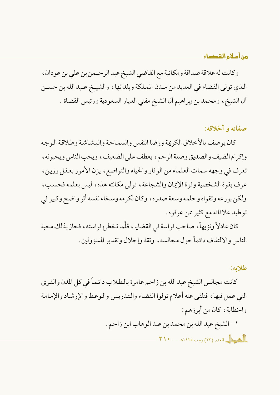وكانت له علاقة صداقة ومكاتبة مع القاضي الشيخ عبد الرحـمن بن على بن عودان ، الذي تولى القضاء في العديد من مـدن المملكة وبلدانها ، والشيـخ عـبد الله بن حسـن آل الشيخ، ومحمد بن إبراهيم آل الشيخ مفتى الديار السعودية ورئيس القضاة .

## صفاته و أخلاقه:

كان يو صف بالأخلاق الكريمة ورضا النفس والسماحة والبشاشة وطلاقة الوجه وإكرام الضيف والصديق وصلة الرحم، يعطف على الضعيف، ويحب الناس ويحبونه، تعرف في وجهه سمات العلماء من الوقار والحياء والتواضع، يزن الأمور بعقل رزين، عرف يقوة الشخصية وقوة الإيمان والشجاعة ، تولي مكانته هذه ، ليس بعلمه فحسب ، ولكن بورعه وتقواه وحلمه وسعة صدره، وكان لكرمه وسخاء نفسه أثر واضح وكبير في توطيد علاقاته مع كثير ممن عرفوه .

كان عادلاً ونزيهاً، صاحب فراسة في القضايا، قلَّما تخطيءٍ فراسته، فحاز بذلك محبة الناس والالتفاف دائماً حول مجالسه، وثقة وإجلال وتقدير المسؤولين .

#### طلامه:

كانت مجالس الشيخ عبد الله بن زاحم عامرة بالطلاب دائماً في كل المدن والقرى التى عمل فيها، فتلقى عنه أعلام تولوا القضاء والتدريس والوعظ والإرشاد والإمامة والخطابة، كان من أبرزهم:

> ١ – الشيخ عبد الله بن محمد بن عبد الوهاب ابن زاحم .  $\frac{1}{2}$ ه بيد (٢٣) (جب ١٤٢٥هـ - ٢١٠ ـ